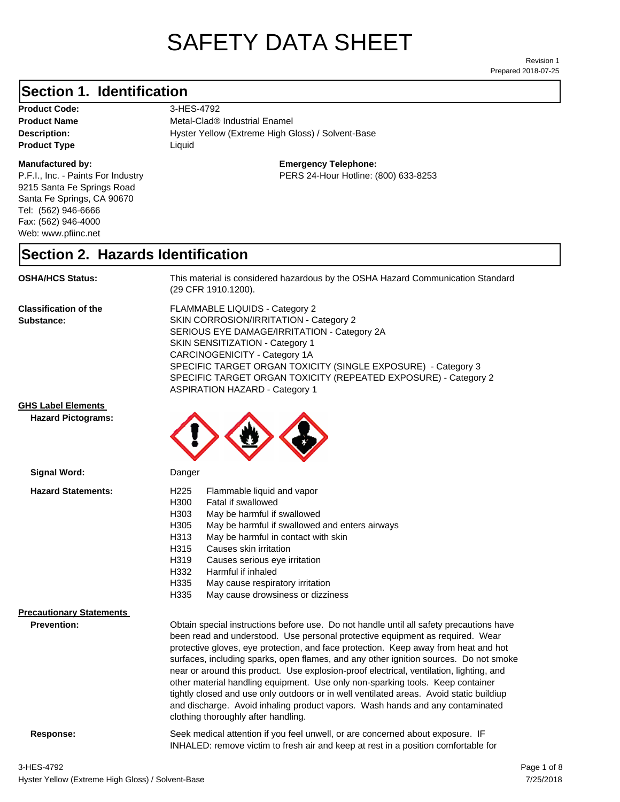# SAFETY DATA SHEET

Prepared 2018-07-25 Revision 1

## **Section 1. Identification**

**Product Code:** 3-HES-4792 **Product Type Liquid Liquid** 

### **Manufactured by:**

P.F.I., Inc. - Paints For Industry 9215 Santa Fe Springs Road Santa Fe Springs, CA 90670 Tel: (562) 946-6666 Fax: (562) 946-4000 Web: www.pfiinc.net

**Description: Hyster Yellow (Extreme High Gloss) / Solvent-Base Product Name** Metal-Clad® Industrial Enamel

**Emergency Telephone:**

PERS 24-Hour Hotline: (800) 633-8253

### **Section 2. Hazards Identification**

**OSHA/HCS Status:** This material is considered hazardous by the OSHA Hazard Communication Standard (29 CFR 1910.1200).

**Classification of the Substance:**

FLAMMABLE LIQUIDS - Category 2 SKIN CORROSION/IRRITATION - Category 2 SERIOUS EYE DAMAGE/IRRITATION - Category 2A SKIN SENSITIZATION - Category 1 CARCINOGENICITY - Category 1A SPECIFIC TARGET ORGAN TOXICITY (SINGLE EXPOSURE) - Category 3 SPECIFIC TARGET ORGAN TOXICITY (REPEATED EXPOSURE) - Category 2 ASPIRATION HAZARD - Category 1

### **GHS Label Elements**

**Signal Word:**

**Hazard Pictograms:**



| <b>Hazard Statements:</b>       | Flammable liquid and vapor<br>H <sub>225</sub>                                                                                                                                                                                                                                                                                                                                                                                                                                                                                                                                                                                                                                                                                                           |
|---------------------------------|----------------------------------------------------------------------------------------------------------------------------------------------------------------------------------------------------------------------------------------------------------------------------------------------------------------------------------------------------------------------------------------------------------------------------------------------------------------------------------------------------------------------------------------------------------------------------------------------------------------------------------------------------------------------------------------------------------------------------------------------------------|
|                                 | H300<br>Fatal if swallowed                                                                                                                                                                                                                                                                                                                                                                                                                                                                                                                                                                                                                                                                                                                               |
|                                 | H303<br>May be harmful if swallowed                                                                                                                                                                                                                                                                                                                                                                                                                                                                                                                                                                                                                                                                                                                      |
|                                 | H <sub>305</sub><br>May be harmful if swallowed and enters airways                                                                                                                                                                                                                                                                                                                                                                                                                                                                                                                                                                                                                                                                                       |
|                                 | May be harmful in contact with skin<br>H313                                                                                                                                                                                                                                                                                                                                                                                                                                                                                                                                                                                                                                                                                                              |
|                                 | H315<br>Causes skin irritation                                                                                                                                                                                                                                                                                                                                                                                                                                                                                                                                                                                                                                                                                                                           |
|                                 | H319<br>Causes serious eye irritation                                                                                                                                                                                                                                                                                                                                                                                                                                                                                                                                                                                                                                                                                                                    |
|                                 | H332<br>Harmful if inhaled                                                                                                                                                                                                                                                                                                                                                                                                                                                                                                                                                                                                                                                                                                                               |
|                                 | H335<br>May cause respiratory irritation                                                                                                                                                                                                                                                                                                                                                                                                                                                                                                                                                                                                                                                                                                                 |
|                                 | H335<br>May cause drowsiness or dizziness                                                                                                                                                                                                                                                                                                                                                                                                                                                                                                                                                                                                                                                                                                                |
| <b>Precautionary Statements</b> |                                                                                                                                                                                                                                                                                                                                                                                                                                                                                                                                                                                                                                                                                                                                                          |
| <b>Prevention:</b>              | Obtain special instructions before use. Do not handle until all safety precautions have<br>been read and understood. Use personal protective equipment as required. Wear<br>protective gloves, eye protection, and face protection. Keep away from heat and hot<br>surfaces, including sparks, open flames, and any other ignition sources. Do not smoke<br>near or around this product. Use explosion-proof electrical, ventilation, lighting, and<br>other material handling equipment. Use only non-sparking tools. Keep container<br>tightly closed and use only outdoors or in well ventilated areas. Avoid static buildiup<br>and discharge. Avoid inhaling product vapors. Wash hands and any contaminated<br>clothing thoroughly after handling. |
|                                 |                                                                                                                                                                                                                                                                                                                                                                                                                                                                                                                                                                                                                                                                                                                                                          |

**Response:** Seek medical attention if you feel unwell, or are concerned about exposure. IF INHALED: remove victim to fresh air and keep at rest in a position comfortable for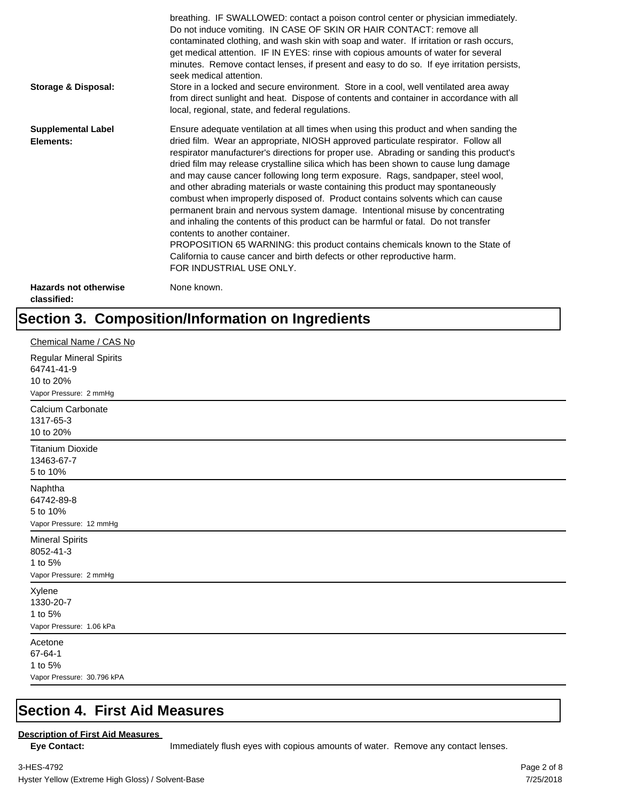| Storage & Disposal:                         | breathing. IF SWALLOWED: contact a poison control center or physician immediately.<br>Do not induce vomiting. IN CASE OF SKIN OR HAIR CONTACT: remove all<br>contaminated clothing, and wash skin with soap and water. If irritation or rash occurs,<br>get medical attention. IF IN EYES: rinse with copious amounts of water for several<br>minutes. Remove contact lenses, if present and easy to do so. If eye irritation persists,<br>seek medical attention.<br>Store in a locked and secure environment. Store in a cool, well ventilated area away<br>from direct sunlight and heat. Dispose of contents and container in accordance with all<br>local, regional, state, and federal regulations.                                                                                                                                                                                                                                                                                                                |
|---------------------------------------------|--------------------------------------------------------------------------------------------------------------------------------------------------------------------------------------------------------------------------------------------------------------------------------------------------------------------------------------------------------------------------------------------------------------------------------------------------------------------------------------------------------------------------------------------------------------------------------------------------------------------------------------------------------------------------------------------------------------------------------------------------------------------------------------------------------------------------------------------------------------------------------------------------------------------------------------------------------------------------------------------------------------------------|
| <b>Supplemental Label</b><br>Elements:      | Ensure adequate ventilation at all times when using this product and when sanding the<br>dried film. Wear an appropriate, NIOSH approved particulate respirator. Follow all<br>respirator manufacturer's directions for proper use. Abrading or sanding this product's<br>dried film may release crystalline silica which has been shown to cause lung damage<br>and may cause cancer following long term exposure. Rags, sandpaper, steel wool,<br>and other abrading materials or waste containing this product may spontaneously<br>combust when improperly disposed of. Product contains solvents which can cause<br>permanent brain and nervous system damage. Intentional misuse by concentrating<br>and inhaling the contents of this product can be harmful or fatal. Do not transfer<br>contents to another container.<br>PROPOSITION 65 WARNING: this product contains chemicals known to the State of<br>California to cause cancer and birth defects or other reproductive harm.<br>FOR INDUSTRIAL USE ONLY. |
| <b>Hazards not otherwise</b><br>classified: | None known.                                                                                                                                                                                                                                                                                                                                                                                                                                                                                                                                                                                                                                                                                                                                                                                                                                                                                                                                                                                                              |

# **Section 3. Composition/Information on Ingredients**

| Chemical Name / CAS No                                                              |
|-------------------------------------------------------------------------------------|
| <b>Regular Mineral Spirits</b><br>64741-41-9<br>10 to 20%<br>Vapor Pressure: 2 mmHg |
| Calcium Carbonate<br>1317-65-3<br>10 to 20%                                         |
| <b>Titanium Dioxide</b><br>13463-67-7<br>5 to 10%                                   |
| Naphtha<br>64742-89-8<br>5 to 10%<br>Vapor Pressure: 12 mmHg                        |
| <b>Mineral Spirits</b><br>8052-41-3<br>1 to 5%<br>Vapor Pressure: 2 mmHg            |
| Xylene<br>1330-20-7<br>1 to 5%<br>Vapor Pressure: 1.06 kPa                          |
| Acetone<br>67-64-1<br>1 to 5%<br>Vapor Pressure: 30.796 kPA                         |

### **Section 4. First Aid Measures**

### **Description of First Aid Measures**

Eye Contact: **IMMED** Immediately flush eyes with copious amounts of water. Remove any contact lenses.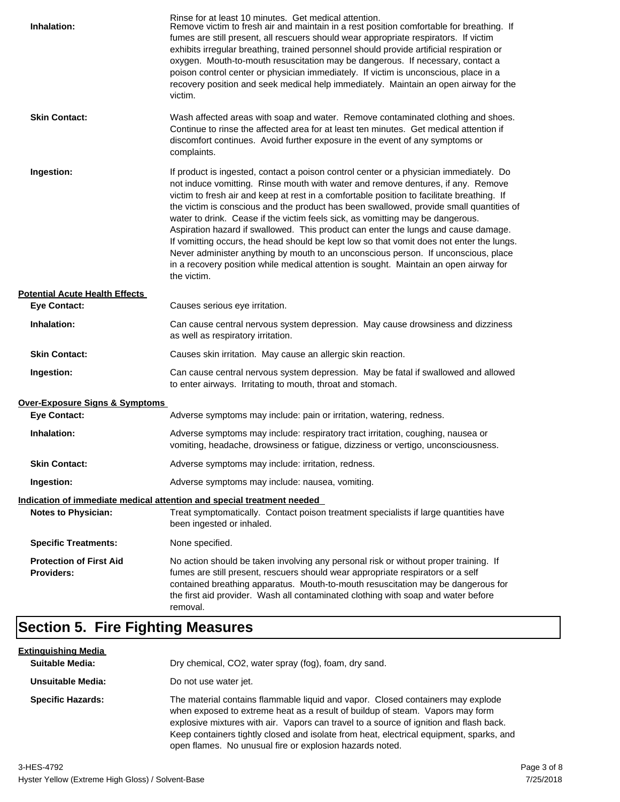| Inhalation:                                         | Rinse for at least 10 minutes. Get medical attention.<br>Remove victim to fresh air and maintain in a rest position comfortable for breathing. If<br>fumes are still present, all rescuers should wear appropriate respirators. If victim<br>exhibits irregular breathing, trained personnel should provide artificial respiration or<br>oxygen. Mouth-to-mouth resuscitation may be dangerous. If necessary, contact a<br>poison control center or physician immediately. If victim is unconscious, place in a<br>recovery position and seek medical help immediately. Maintain an open airway for the<br>victim.                                                                                                                                                                                                                    |
|-----------------------------------------------------|---------------------------------------------------------------------------------------------------------------------------------------------------------------------------------------------------------------------------------------------------------------------------------------------------------------------------------------------------------------------------------------------------------------------------------------------------------------------------------------------------------------------------------------------------------------------------------------------------------------------------------------------------------------------------------------------------------------------------------------------------------------------------------------------------------------------------------------|
| <b>Skin Contact:</b>                                | Wash affected areas with soap and water. Remove contaminated clothing and shoes.<br>Continue to rinse the affected area for at least ten minutes. Get medical attention if<br>discomfort continues. Avoid further exposure in the event of any symptoms or<br>complaints.                                                                                                                                                                                                                                                                                                                                                                                                                                                                                                                                                             |
| Ingestion:                                          | If product is ingested, contact a poison control center or a physician immediately. Do<br>not induce vomitting. Rinse mouth with water and remove dentures, if any. Remove<br>victim to fresh air and keep at rest in a comfortable position to facilitate breathing. If<br>the victim is conscious and the product has been swallowed, provide small quantities of<br>water to drink. Cease if the victim feels sick, as vomitting may be dangerous.<br>Aspiration hazard if swallowed. This product can enter the lungs and cause damage.<br>If vomitting occurs, the head should be kept low so that vomit does not enter the lungs.<br>Never administer anything by mouth to an unconscious person. If unconscious, place<br>in a recovery position while medical attention is sought. Maintain an open airway for<br>the victim. |
| <b>Potential Acute Health Effects</b>               |                                                                                                                                                                                                                                                                                                                                                                                                                                                                                                                                                                                                                                                                                                                                                                                                                                       |
| <b>Eye Contact:</b>                                 | Causes serious eye irritation.                                                                                                                                                                                                                                                                                                                                                                                                                                                                                                                                                                                                                                                                                                                                                                                                        |
| Inhalation:                                         | Can cause central nervous system depression. May cause drowsiness and dizziness<br>as well as respiratory irritation.                                                                                                                                                                                                                                                                                                                                                                                                                                                                                                                                                                                                                                                                                                                 |
| <b>Skin Contact:</b>                                | Causes skin irritation. May cause an allergic skin reaction.                                                                                                                                                                                                                                                                                                                                                                                                                                                                                                                                                                                                                                                                                                                                                                          |
| Ingestion:                                          | Can cause central nervous system depression. May be fatal if swallowed and allowed<br>to enter airways. Irritating to mouth, throat and stomach.                                                                                                                                                                                                                                                                                                                                                                                                                                                                                                                                                                                                                                                                                      |
| <b>Over-Exposure Signs &amp; Symptoms</b>           |                                                                                                                                                                                                                                                                                                                                                                                                                                                                                                                                                                                                                                                                                                                                                                                                                                       |
| <b>Eye Contact:</b>                                 | Adverse symptoms may include: pain or irritation, watering, redness.                                                                                                                                                                                                                                                                                                                                                                                                                                                                                                                                                                                                                                                                                                                                                                  |
| Inhalation:                                         | Adverse symptoms may include: respiratory tract irritation, coughing, nausea or<br>vomiting, headache, drowsiness or fatigue, dizziness or vertigo, unconsciousness.                                                                                                                                                                                                                                                                                                                                                                                                                                                                                                                                                                                                                                                                  |
| <b>Skin Contact:</b>                                | Adverse symptoms may include: irritation, redness.                                                                                                                                                                                                                                                                                                                                                                                                                                                                                                                                                                                                                                                                                                                                                                                    |
| Ingestion:                                          | Adverse symptoms may include: nausea, vomiting.                                                                                                                                                                                                                                                                                                                                                                                                                                                                                                                                                                                                                                                                                                                                                                                       |
|                                                     | Indication of immediate medical attention and special treatment needed                                                                                                                                                                                                                                                                                                                                                                                                                                                                                                                                                                                                                                                                                                                                                                |
| <b>Notes to Physician:</b>                          | Treat symptomatically. Contact poison treatment specialists if large quantities have<br>been ingested or inhaled.                                                                                                                                                                                                                                                                                                                                                                                                                                                                                                                                                                                                                                                                                                                     |
| <b>Specific Treatments:</b>                         | None specified.                                                                                                                                                                                                                                                                                                                                                                                                                                                                                                                                                                                                                                                                                                                                                                                                                       |
| <b>Protection of First Aid</b><br><b>Providers:</b> | No action should be taken involving any personal risk or without proper training. If<br>fumes are still present, rescuers should wear appropriate respirators or a self<br>contained breathing apparatus. Mouth-to-mouth resuscitation may be dangerous for<br>the first aid provider. Wash all contaminated clothing with soap and water before<br>removal.                                                                                                                                                                                                                                                                                                                                                                                                                                                                          |

# **Section 5. Fire Fighting Measures**

| <u>Extinguishing Media</u> |                                                                                                                                                                                                                                                                                                                                                                                                                   |
|----------------------------|-------------------------------------------------------------------------------------------------------------------------------------------------------------------------------------------------------------------------------------------------------------------------------------------------------------------------------------------------------------------------------------------------------------------|
| <b>Suitable Media:</b>     | Dry chemical, CO2, water spray (fog), foam, dry sand.                                                                                                                                                                                                                                                                                                                                                             |
| Unsuitable Media:          | Do not use water jet.                                                                                                                                                                                                                                                                                                                                                                                             |
| <b>Specific Hazards:</b>   | The material contains flammable liquid and vapor. Closed containers may explode<br>when exposed to extreme heat as a result of buildup of steam. Vapors may form<br>explosive mixtures with air. Vapors can travel to a source of ignition and flash back.<br>Keep containers tightly closed and isolate from heat, electrical equipment, sparks, and<br>open flames. No unusual fire or explosion hazards noted. |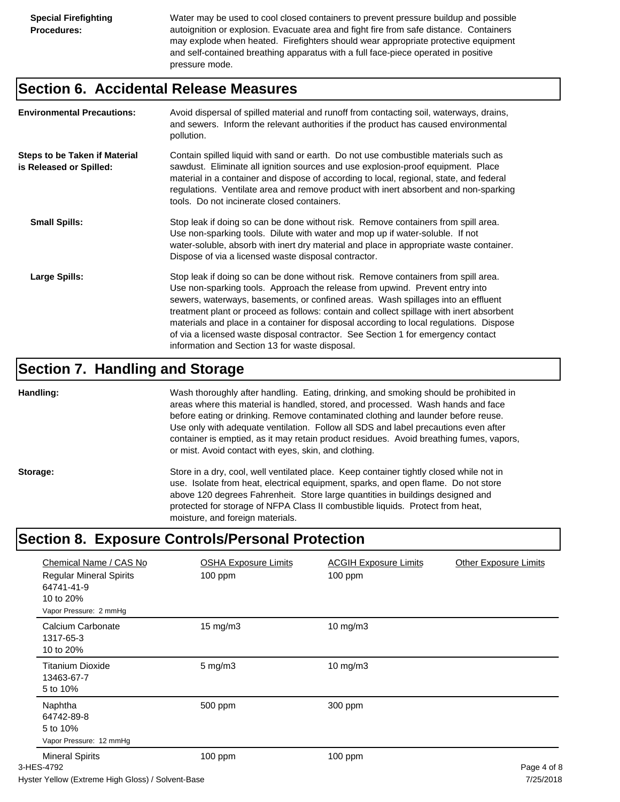Water may be used to cool closed containers to prevent pressure buildup and possible autoignition or explosion. Evacuate area and fight fire from safe distance. Containers may explode when heated. Firefighters should wear appropriate protective equipment and self-contained breathing apparatus with a full face-piece operated in positive pressure mode.

### **Section 6. Accidental Release Measures**

| <b>Environmental Precautions:</b>                               | Avoid dispersal of spilled material and runoff from contacting soil, waterways, drains,<br>and sewers. Inform the relevant authorities if the product has caused environmental<br>pollution.                                                                                                                                                                                                                                                                                                                                                                                        |
|-----------------------------------------------------------------|-------------------------------------------------------------------------------------------------------------------------------------------------------------------------------------------------------------------------------------------------------------------------------------------------------------------------------------------------------------------------------------------------------------------------------------------------------------------------------------------------------------------------------------------------------------------------------------|
| <b>Steps to be Taken if Material</b><br>is Released or Spilled: | Contain spilled liquid with sand or earth. Do not use combustible materials such as<br>sawdust. Eliminate all ignition sources and use explosion-proof equipment. Place<br>material in a container and dispose of according to local, regional, state, and federal<br>regulations. Ventilate area and remove product with inert absorbent and non-sparking<br>tools. Do not incinerate closed containers.                                                                                                                                                                           |
| <b>Small Spills:</b>                                            | Stop leak if doing so can be done without risk. Remove containers from spill area.<br>Use non-sparking tools. Dilute with water and mop up if water-soluble. If not<br>water-soluble, absorb with inert dry material and place in appropriate waste container.<br>Dispose of via a licensed waste disposal contractor.                                                                                                                                                                                                                                                              |
| Large Spills:                                                   | Stop leak if doing so can be done without risk. Remove containers from spill area.<br>Use non-sparking tools. Approach the release from upwind. Prevent entry into<br>sewers, waterways, basements, or confined areas. Wash spillages into an effluent<br>treatment plant or proceed as follows: contain and collect spillage with inert absorbent<br>materials and place in a container for disposal according to local regulations. Dispose<br>of via a licensed waste disposal contractor. See Section 1 for emergency contact<br>information and Section 13 for waste disposal. |

### **Section 7. Handling and Storage**

**Handling:** Wash thoroughly after handling. Eating, drinking, and smoking should be prohibited in areas where this material is handled, stored, and processed. Wash hands and face before eating or drinking. Remove contaminated clothing and launder before reuse. Use only with adequate ventilation. Follow all SDS and label precautions even after container is emptied, as it may retain product residues. Avoid breathing fumes, vapors, or mist. Avoid contact with eyes, skin, and clothing.

Storage: Store in a dry, cool, well ventilated place. Keep container tightly closed while not in use. Isolate from heat, electrical equipment, sparks, and open flame. Do not store above 120 degrees Fahrenheit. Store large quantities in buildings designed and protected for storage of NFPA Class II combustible liquids. Protect from heat, moisture, and foreign materials.

## **Section 8. Exposure Controls/Personal Protection**

| Chemical Name / CAS No<br><b>Regular Mineral Spirits</b><br>64741-41-9<br>10 to 20%<br>Vapor Pressure: 2 mmHg | <b>OSHA Exposure Limits</b><br>100 ppm | <b>ACGIH Exposure Limits</b><br>$100$ ppm | <b>Other Exposure Limits</b>    |
|---------------------------------------------------------------------------------------------------------------|----------------------------------------|-------------------------------------------|---------------------------------|
| Calcium Carbonate<br>1317-65-3<br>10 to 20%                                                                   | $15 \text{ mg/m}$                      | $10$ mg/m $3$                             |                                 |
| <b>Titanium Dioxide</b><br>13463-67-7<br>5 to 10%                                                             | $5$ mg/m $3$                           | $10$ mg/m $3$                             |                                 |
| Naphtha<br>64742-89-8<br>5 to 10%<br>Vapor Pressure: 12 mmHg                                                  | 500 ppm                                | 300 ppm                                   |                                 |
| <b>Mineral Spirits</b><br>3-HES-4792                                                                          | 100 ppm                                | $100$ ppm                                 | Page 4 of 8<br>$-10 - 100 - 10$ |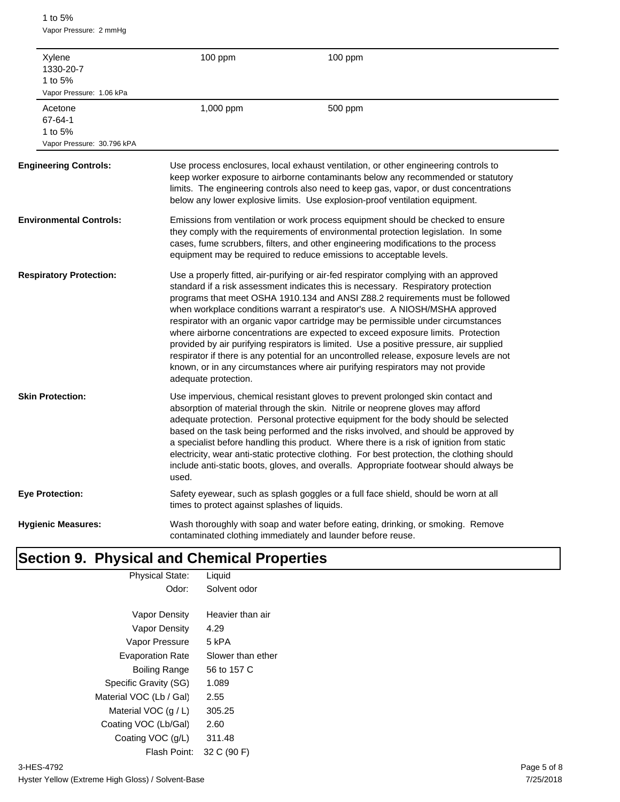1 to 5% Vapor Pressure: 2 mmHg

| Xylene<br>1330-20-7<br>1 to 5%<br>Vapor Pressure: 1.06 kPa  | 100 ppm                                       | 100 ppm                                                                                                                                                                                                                                                                                                                                                                                                                                                                                                                                                                                                                                                                                                                                                                                       |
|-------------------------------------------------------------|-----------------------------------------------|-----------------------------------------------------------------------------------------------------------------------------------------------------------------------------------------------------------------------------------------------------------------------------------------------------------------------------------------------------------------------------------------------------------------------------------------------------------------------------------------------------------------------------------------------------------------------------------------------------------------------------------------------------------------------------------------------------------------------------------------------------------------------------------------------|
| Acetone<br>67-64-1<br>1 to 5%<br>Vapor Pressure: 30.796 kPA | 1,000 ppm                                     | 500 ppm                                                                                                                                                                                                                                                                                                                                                                                                                                                                                                                                                                                                                                                                                                                                                                                       |
| <b>Engineering Controls:</b>                                |                                               | Use process enclosures, local exhaust ventilation, or other engineering controls to<br>keep worker exposure to airborne contaminants below any recommended or statutory<br>limits. The engineering controls also need to keep gas, vapor, or dust concentrations<br>below any lower explosive limits. Use explosion-proof ventilation equipment.                                                                                                                                                                                                                                                                                                                                                                                                                                              |
| <b>Environmental Controls:</b>                              |                                               | Emissions from ventilation or work process equipment should be checked to ensure<br>they comply with the requirements of environmental protection legislation. In some<br>cases, fume scrubbers, filters, and other engineering modifications to the process<br>equipment may be required to reduce emissions to acceptable levels.                                                                                                                                                                                                                                                                                                                                                                                                                                                           |
| <b>Respiratory Protection:</b>                              | adequate protection.                          | Use a properly fitted, air-purifying or air-fed respirator complying with an approved<br>standard if a risk assessment indicates this is necessary. Respiratory protection<br>programs that meet OSHA 1910.134 and ANSI Z88.2 requirements must be followed<br>when workplace conditions warrant a respirator's use. A NIOSH/MSHA approved<br>respirator with an organic vapor cartridge may be permissible under circumstances<br>where airborne concentrations are expected to exceed exposure limits. Protection<br>provided by air purifying respirators is limited. Use a positive pressure, air supplied<br>respirator if there is any potential for an uncontrolled release, exposure levels are not<br>known, or in any circumstances where air purifying respirators may not provide |
| <b>Skin Protection:</b>                                     | used.                                         | Use impervious, chemical resistant gloves to prevent prolonged skin contact and<br>absorption of material through the skin. Nitrile or neoprene gloves may afford<br>adequate protection. Personal protective equipment for the body should be selected<br>based on the task being performed and the risks involved, and should be approved by<br>a specialist before handling this product. Where there is a risk of ignition from static<br>electricity, wear anti-static protective clothing. For best protection, the clothing should<br>include anti-static boots, gloves, and overalls. Appropriate footwear should always be                                                                                                                                                           |
| Eye Protection:                                             | times to protect against splashes of liquids. | Safety eyewear, such as splash goggles or a full face shield, should be worn at all                                                                                                                                                                                                                                                                                                                                                                                                                                                                                                                                                                                                                                                                                                           |
| <b>Hygienic Measures:</b>                                   |                                               | Wash thoroughly with soap and water before eating, drinking, or smoking. Remove<br>contaminated clothing immediately and launder before reuse.                                                                                                                                                                                                                                                                                                                                                                                                                                                                                                                                                                                                                                                |

# **Section 9. Physical and Chemical Properties**

| <b>Physical State:</b>  | Liquid            |
|-------------------------|-------------------|
| Odor:                   | Solvent odor      |
|                         |                   |
| Vapor Density           | Heavier than air  |
| Vapor Density           | 4.29              |
| Vapor Pressure          | 5 kPA             |
| <b>Evaporation Rate</b> | Slower than ether |
| Boiling Range           | 56 to 157 C       |
| Specific Gravity (SG)   | 1.089             |
| Material VOC (Lb / Gal) | 2.55              |
| Material VOC $(q/L)$    | 305.25            |
| Coating VOC (Lb/Gal)    | 2.60              |
| Coating VOC (g/L)       | 311.48            |
| Flash Point:            | 32 C (90 F)       |
|                         |                   |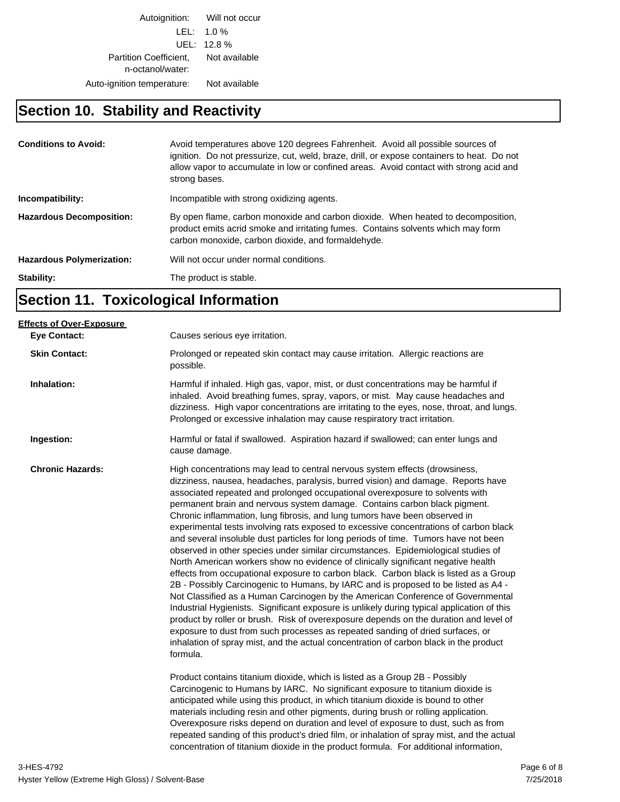Autoignition: Will not occur LEL: 1.0 % UEL: 12.8 % Partition Coefficient, Not available n-octanol/water: Auto-ignition temperature: Not available

### **Section 10. Stability and Reactivity**

| <b>Conditions to Avoid:</b>      | Avoid temperatures above 120 degrees Fahrenheit. Avoid all possible sources of<br>ignition. Do not pressurize, cut, weld, braze, drill, or expose containers to heat. Do not<br>allow vapor to accumulate in low or confined areas. Avoid contact with strong acid and<br>strong bases. |
|----------------------------------|-----------------------------------------------------------------------------------------------------------------------------------------------------------------------------------------------------------------------------------------------------------------------------------------|
| Incompatibility:                 | Incompatible with strong oxidizing agents.                                                                                                                                                                                                                                              |
| <b>Hazardous Decomposition:</b>  | By open flame, carbon monoxide and carbon dioxide. When heated to decomposition,<br>product emits acrid smoke and irritating fumes. Contains solvents which may form<br>carbon monoxide, carbon dioxide, and formaldehyde.                                                              |
| <b>Hazardous Polymerization:</b> | Will not occur under normal conditions.                                                                                                                                                                                                                                                 |
| Stability:                       | The product is stable.                                                                                                                                                                                                                                                                  |

# **Section 11. Toxicological Information**

| Causes serious eye irritation.                                                                                                                                                                                                                                                                                                                                                                                                                                                                                                                                                                                                                                                                                                                                                                                                                                                                                                                                                                                                                                                                                                                                                                                                                                                                                                                                                                                                                                                                                                                                                                                                                                                                                                                                                                                                                        |
|-------------------------------------------------------------------------------------------------------------------------------------------------------------------------------------------------------------------------------------------------------------------------------------------------------------------------------------------------------------------------------------------------------------------------------------------------------------------------------------------------------------------------------------------------------------------------------------------------------------------------------------------------------------------------------------------------------------------------------------------------------------------------------------------------------------------------------------------------------------------------------------------------------------------------------------------------------------------------------------------------------------------------------------------------------------------------------------------------------------------------------------------------------------------------------------------------------------------------------------------------------------------------------------------------------------------------------------------------------------------------------------------------------------------------------------------------------------------------------------------------------------------------------------------------------------------------------------------------------------------------------------------------------------------------------------------------------------------------------------------------------------------------------------------------------------------------------------------------------|
| Prolonged or repeated skin contact may cause irritation. Allergic reactions are<br>possible.                                                                                                                                                                                                                                                                                                                                                                                                                                                                                                                                                                                                                                                                                                                                                                                                                                                                                                                                                                                                                                                                                                                                                                                                                                                                                                                                                                                                                                                                                                                                                                                                                                                                                                                                                          |
| Harmful if inhaled. High gas, vapor, mist, or dust concentrations may be harmful if<br>inhaled. Avoid breathing fumes, spray, vapors, or mist. May cause headaches and<br>dizziness. High vapor concentrations are irritating to the eyes, nose, throat, and lungs.<br>Prolonged or excessive inhalation may cause respiratory tract irritation.                                                                                                                                                                                                                                                                                                                                                                                                                                                                                                                                                                                                                                                                                                                                                                                                                                                                                                                                                                                                                                                                                                                                                                                                                                                                                                                                                                                                                                                                                                      |
| Harmful or fatal if swallowed. Aspiration hazard if swallowed; can enter lungs and<br>cause damage.                                                                                                                                                                                                                                                                                                                                                                                                                                                                                                                                                                                                                                                                                                                                                                                                                                                                                                                                                                                                                                                                                                                                                                                                                                                                                                                                                                                                                                                                                                                                                                                                                                                                                                                                                   |
| High concentrations may lead to central nervous system effects (drowsiness,<br>dizziness, nausea, headaches, paralysis, burred vision) and damage. Reports have<br>associated repeated and prolonged occupational overexposure to solvents with<br>permanent brain and nervous system damage. Contains carbon black pigment.<br>Chronic inflammation, lung fibrosis, and lung tumors have been observed in<br>experimental tests involving rats exposed to excessive concentrations of carbon black<br>and several insoluble dust particles for long periods of time. Tumors have not been<br>observed in other species under similar circumstances. Epidemiological studies of<br>North American workers show no evidence of clinically significant negative health<br>effects from occupational exposure to carbon black. Carbon black is listed as a Group<br>2B - Possibly Carcinogenic to Humans, by IARC and is proposed to be listed as A4 -<br>Not Classified as a Human Carcinogen by the American Conference of Governmental<br>Industrial Hygienists. Significant exposure is unlikely during typical application of this<br>product by roller or brush. Risk of overexposure depends on the duration and level of<br>exposure to dust from such processes as repeated sanding of dried surfaces, or<br>inhalation of spray mist, and the actual concentration of carbon black in the product<br>formula.<br>Product contains titanium dioxide, which is listed as a Group 2B - Possibly<br>Carcinogenic to Humans by IARC. No significant exposure to titanium dioxide is<br>anticipated while using this product, in which titanium dioxide is bound to other<br>materials including resin and other pigments, during brush or rolling application.<br>Overexposure risks depend on duration and level of exposure to dust, such as from |
| repeated sanding of this product's dried film, or inhalation of spray mist, and the actual<br>concentration of titanium dioxide in the product formula. For additional information,                                                                                                                                                                                                                                                                                                                                                                                                                                                                                                                                                                                                                                                                                                                                                                                                                                                                                                                                                                                                                                                                                                                                                                                                                                                                                                                                                                                                                                                                                                                                                                                                                                                                   |
|                                                                                                                                                                                                                                                                                                                                                                                                                                                                                                                                                                                                                                                                                                                                                                                                                                                                                                                                                                                                                                                                                                                                                                                                                                                                                                                                                                                                                                                                                                                                                                                                                                                                                                                                                                                                                                                       |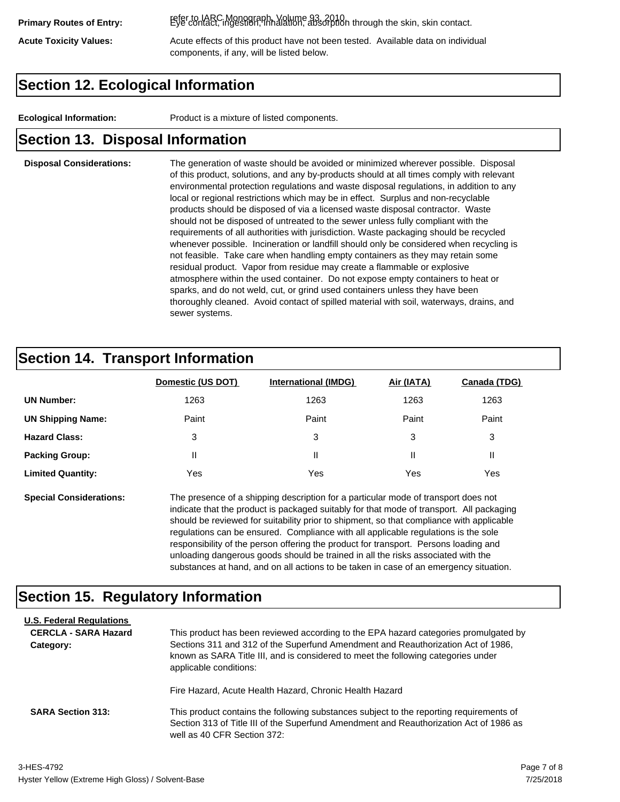refer to IARC Monograph, Volume 93, 2010. **Primary Routes of Entry:** Eye contact, ingestion, inhalation, absorption through the skin, skin contact.

Acute Toxicity Values: **Acute effects of this product have not been tested.** Available data on individual components, if any, will be listed below.

## **Section 12. Ecological Information**

**Ecological Information:** Product is a mixture of listed components.

### **Section 13. Disposal Information**

### **Disposal Considerations:** The generation of waste should be avoided or minimized wherever possible. Disposal of this product, solutions, and any by-products should at all times comply with relevant environmental protection regulations and waste disposal regulations, in addition to any local or regional restrictions which may be in effect. Surplus and non-recyclable products should be disposed of via a licensed waste disposal contractor. Waste should not be disposed of untreated to the sewer unless fully compliant with the requirements of all authorities with jurisdiction. Waste packaging should be recycled whenever possible. Incineration or landfill should only be considered when recycling is not feasible. Take care when handling empty containers as they may retain some residual product. Vapor from residue may create a flammable or explosive atmosphere within the used container. Do not expose empty containers to heat or sparks, and do not weld, cut, or grind used containers unless they have been thoroughly cleaned. Avoid contact of spilled material with soil, waterways, drains, and sewer systems.

## **Section 14. Transport Information**

|                          | Domestic (US DOT) | <b>International (IMDG)</b> | Air (IATA) | Canada (TDG) |
|--------------------------|-------------------|-----------------------------|------------|--------------|
| <b>UN Number:</b>        | 1263              | 1263                        | 1263       | 1263         |
| <b>UN Shipping Name:</b> | Paint             | Paint                       | Paint      | Paint        |
| <b>Hazard Class:</b>     | 3                 | 3                           | 3          | 3            |
| <b>Packing Group:</b>    | Ш                 | Ш                           |            |              |
| <b>Limited Quantity:</b> | Yes               | Yes                         | Yes        | Yes          |

**Special Considerations:** The presence of a shipping description for a particular mode of transport does not indicate that the product is packaged suitably for that mode of transport. All packaging should be reviewed for suitability prior to shipment, so that compliance with applicable regulations can be ensured. Compliance with all applicable regulations is the sole responsibility of the person offering the product for transport. Persons loading and unloading dangerous goods should be trained in all the risks associated with the substances at hand, and on all actions to be taken in case of an emergency situation.

### **Section 15. Regulatory Information**

| <b>U.S. Federal Regulations</b><br><b>CERCLA - SARA Hazard</b><br>Category: | This product has been reviewed according to the EPA hazard categories promulgated by<br>Sections 311 and 312 of the Superfund Amendment and Reauthorization Act of 1986,<br>known as SARA Title III, and is considered to meet the following categories under<br>applicable conditions: |
|-----------------------------------------------------------------------------|-----------------------------------------------------------------------------------------------------------------------------------------------------------------------------------------------------------------------------------------------------------------------------------------|
| <b>SARA Section 313:</b>                                                    | Fire Hazard, Acute Health Hazard, Chronic Health Hazard<br>This product contains the following substances subject to the reporting requirements of<br>Section 313 of Title III of the Superfund Amendment and Reauthorization Act of 1986 as<br>well as 40 CFR Section 372:             |